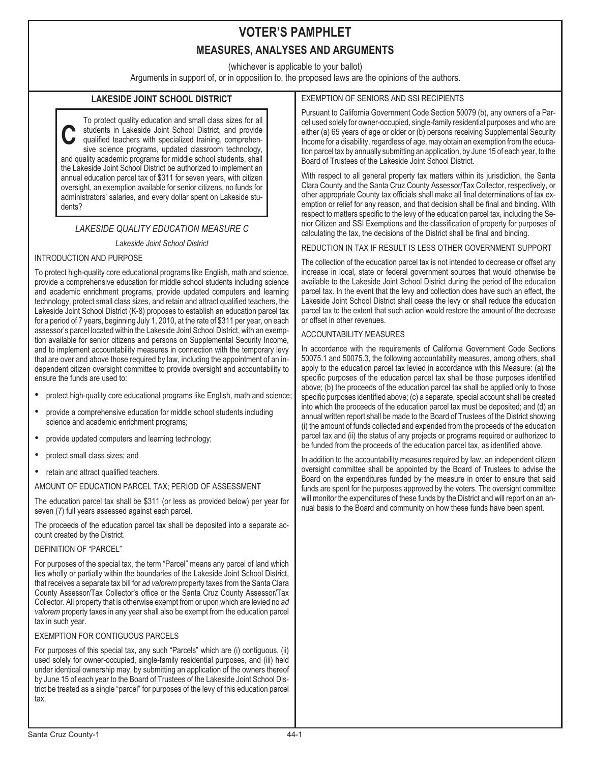## **VOTER'S PAMPHLET MEASURES, ANALYSES AND ARGUMENTS**

(whichever is applicable to your ballot)

Arguments in support of, or in opposition to, the proposed laws are the opinions of the authors.

## **LAKESIDE JOINT SCHOOL DISTRICT**

**C** To protect quality education and small class sizes for all students in Lakeside Joint School District, and provide qualified teachers with specialized training, comprehensive science programs, updated classroom technology, and quality academic programs for middle school students, shall the Lakeside Joint School District be authorized to implement an annual education parcel tax of \$311 for seven years, with citizen oversight, an exemption available for senior citizens, no funds for administrators' salaries, and every dollar spent on Lakeside students?

## *LAKESIDE QUALITY EDUCATION MEASURE C*

#### *Lakeside Joint School District*

### INTRODUCTION AND PURPOSE

To protect high-quality core educational programs like English, math and science, provide a comprehensive education for middle school students including science and academic enrichment programs, provide updated computers and learning technology, protect small class sizes, and retain and attract qualified teachers, the Lakeside Joint School District (K-8) proposes to establish an education parcel tax for a period of 7 years, beginning July 1, 2010, at the rate of \$311 per year, on each assessor's parcel located within the Lakeside Joint School District, with an exemption available for senior citizens and persons on Supplemental Security Income, and to implement accountability measures in connection with the temporary levy that are over and above those required by law, including the appointment of an independent citizen oversight committee to provide oversight and accountability to ensure the funds are used to: •

- protect high-quality core educational programs like English, math and science; •
- provide a comprehensive education for middle school students including science and academic enrichment programs;
- provide updated computers and learning technology; •
- protect small class sizes; and •
- retain and attract qualified teachers.

#### AMOUNT OF EDUCATION PARCEL TAX; PERIOD OF ASSESSMENT

The education parcel tax shall be \$311 (or less as provided below) per year for seven (7) full years assessed against each parcel.

The proceeds of the education parcel tax shall be deposited into a separate account created by the District.

#### DEFINITION OF "PARCEL"

For purposes of the special tax, the term "Parcel" means any parcel of land which lies wholly or partially within the boundaries of the Lakeside Joint School District, that receives a separate tax bill for *ad valorem* property taxes from the Santa Clara County Assessor/Tax Collector's office or the Santa Cruz County Assessor/Tax Collector. All property that is otherwise exempt from or upon which are levied no *ad valorem* property taxes in any year shall also be exempt from the education parcel tax in such year.

### EXEMPTION FOR CONTIGUOUS PARCELS

For purposes of this special tax, any such "Parcels" which are (i) contiguous, (ii) used solely for owner-occupied, single-family residential purposes, and (iii) held under identical ownership may, by submitting an application of the owners thereof by June 15 of each year to the Board of Trustees of the Lakeside Joint School District be treated as a single "parcel" for purposes of the levy of this education parcel tax.

## EXEMPTION OF SENIORS AND SSI RECIPIENTS

Pursuant to California Government Code Section 50079 (b), any owners of a Parcel used solely for owner-occupied, single-family residential purposes and who are either (a) 65 years of age or older or (b) persons receiving Supplemental Security Income for a disability, regardless of age, may obtain an exemption from the education parcel tax by annually submitting an application, by June 15 of each year, to the Board of Trustees of the Lakeside Joint School District.

With respect to all general property tax matters within its jurisdiction, the Santa Clara County and the Santa Cruz County Assessor/Tax Collector, respectively, or other appropriate County tax officials shall make all final determinations of tax exemption or relief for any reason, and that decision shall be final and binding. With respect to matters specific to the levy of the education parcel tax, including the Senior Citizen and SSI Exemptions and the classification of property for purposes of calculating the tax, the decisions of the District shall be final and binding.

### REDUCTION IN TAX IF RESULT IS LESS OTHER GOVERNMENT SUPPORT

The collection of the education parcel tax is not intended to decrease or offset any increase in local, state or federal government sources that would otherwise be available to the Lakeside Joint School District during the period of the education parcel tax. In the event that the levy and collection does have such an effect, the Lakeside Joint School District shall cease the levy or shall reduce the education parcel tax to the extent that such action would restore the amount of the decrease or offset in other revenues.

#### ACCOUNTABILITY MEASURES

In accordance with the requirements of California Government Code Sections 50075.1 and 50075.3, the following accountability measures, among others, shall apply to the education parcel tax levied in accordance with this Measure: (a) the specific purposes of the education parcel tax shall be those purposes identified above; (b) the proceeds of the education parcel tax shall be applied only to those specific purposes identified above; (c) a separate, special account shall be created into which the proceeds of the education parcel tax must be deposited; and (d) an annual written report shall be made to the Board of Trustees of the District showing (i) the amount of funds collected and expended from the proceeds of the education parcel tax and (ii) the status of any projects or programs required or authorized to be funded from the proceeds of the education parcel tax, as identified above.

In addition to the accountability measures required by law, an independent citizen oversight committee shall be appointed by the Board of Trustees to advise the Board on the expenditures funded by the measure in order to ensure that said funds are spent for the purposes approved by the voters. The oversight committee will monitor the expenditures of these funds by the District and will report on an annual basis to the Board and community on how these funds have been spent.